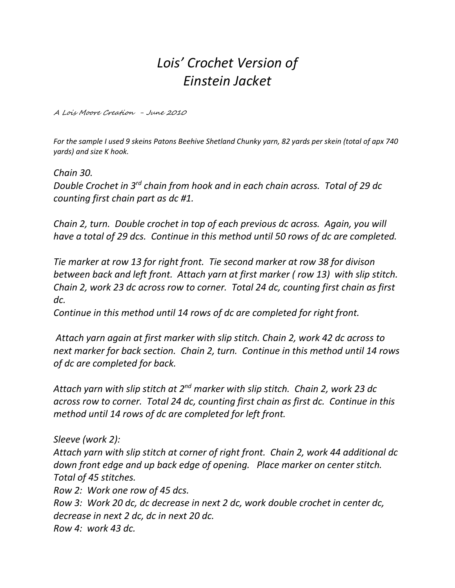## *Lois' Crochet Version of Einstein Jacket*

A Lois Moore Creation - June 2010

For the sample I used 9 skeins Patons Beehive Shetland Chunky yarn, 82 yards per skein (total of apx 740 *yards) and size K hook.*

*Chain 30. Double Crochet in 3 rd chain from hook and in each chain across. Total of 29 dc counting first chain part as dc #1.*

*Chain 2, turn. Double crochet in top of each previous dc across. Again, you will have a total of 29 dcs. Continue in this method until 50 rows of dc are completed.*

*Tie marker at row 13 for right front. Tie second marker at row 38 for divison between back and left front. Attach yarn at first marker ( row 13) with slip stitch. Chain 2, work 23 dc across row to corner. Total 24 dc, counting first chain as first dc.*

*Continue in this method until 14 rows of dc are completed for right front.*

*Attach yarn again at first marker with slip stitch. Chain 2, work 42 dc across to next marker for back section. Chain 2, turn. Continue in this method until 14 rows of dc are completed for back.*

*Attach yarn with slip stitch at 2 nd marker with slip stitch. Chain 2, work 23 dc across row to corner. Total 24 dc, counting first chain as first dc. Continue in this method until 14 rows of dc are completed for left front.*

*Sleeve (work 2): Attach yarn with slip stitch at corner of right front. Chain 2, work 44 additional dc down front edge and up back edge of opening. Place marker on center stitch. Total of 45 stitches. Row 2: Work one row of 45 dcs.* 

*Row 3: Work 20 dc, dc decrease in next 2 dc, work double crochet in center dc, decrease in next 2 dc, dc in next 20 dc. Row 4: work 43 dc.*